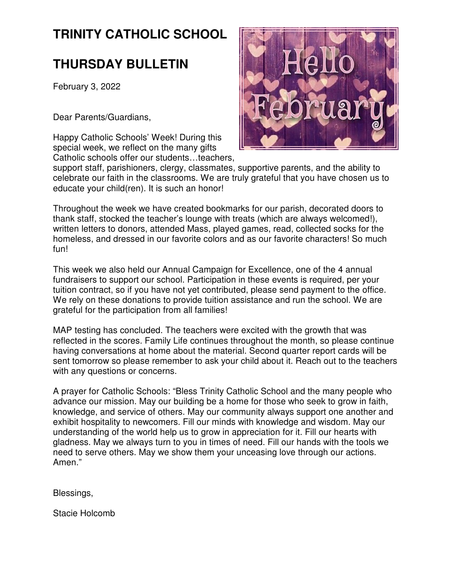# **TRINITY CATHOLIC SCHOOL**

# **THURSDAY BULLETIN**

February 3, 2022

Dear Parents/Guardians,

Happy Catholic Schools' Week! During this special week, we reflect on the many gifts Catholic schools offer our students…teachers,



support staff, parishioners, clergy, classmates, supportive parents, and the ability to celebrate our faith in the classrooms. We are truly grateful that you have chosen us to educate your child(ren). It is such an honor!

Throughout the week we have created bookmarks for our parish, decorated doors to thank staff, stocked the teacher's lounge with treats (which are always welcomed!), written letters to donors, attended Mass, played games, read, collected socks for the homeless, and dressed in our favorite colors and as our favorite characters! So much fun!

This week we also held our Annual Campaign for Excellence, one of the 4 annual fundraisers to support our school. Participation in these events is required, per your tuition contract, so if you have not yet contributed, please send payment to the office. We rely on these donations to provide tuition assistance and run the school. We are grateful for the participation from all families!

MAP testing has concluded. The teachers were excited with the growth that was reflected in the scores. Family Life continues throughout the month, so please continue having conversations at home about the material. Second quarter report cards will be sent tomorrow so please remember to ask your child about it. Reach out to the teachers with any questions or concerns.

A prayer for Catholic Schools: "Bless Trinity Catholic School and the many people who advance our mission. May our building be a home for those who seek to grow in faith, knowledge, and service of others. May our community always support one another and exhibit hospitality to newcomers. Fill our minds with knowledge and wisdom. May our understanding of the world help us to grow in appreciation for it. Fill our hearts with gladness. May we always turn to you in times of need. Fill our hands with the tools we need to serve others. May we show them your unceasing love through our actions. Amen."

Blessings,

Stacie Holcomb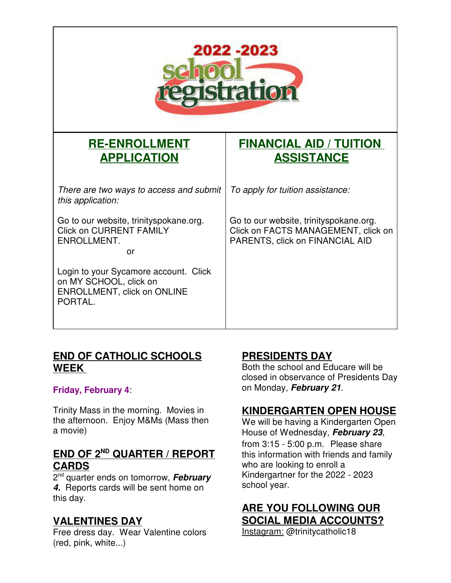| 2022 -2023<br><b>Shat100</b>                                                                              |                                                                                                                  |
|-----------------------------------------------------------------------------------------------------------|------------------------------------------------------------------------------------------------------------------|
| <b>RE-ENROLLMENT</b><br><b>APPLICATION</b>                                                                | <b>FINANCIAL AID / TUITION</b><br><b>ASSISTANCE</b>                                                              |
| There are two ways to access and submit<br>this application:                                              | To apply for tuition assistance:                                                                                 |
| Go to our website, trinityspokane.org.<br><b>Click on CURRENT FAMILY</b><br>ENROLLMENT.<br>or             | Go to our website, trinityspokane.org.<br>Click on FACTS MANAGEMENT, click on<br>PARENTS, click on FINANCIAL AID |
| Login to your Sycamore account. Click<br>on MY SCHOOL, click on<br>ENROLLMENT, click on ONLINE<br>PORTAL. |                                                                                                                  |

### **END OF CATHOLIC SCHOOLS WEEK**

#### **Friday, February 4**:

Trinity Mass in the morning. Movies in the afternoon. Enjoy M&Ms (Mass then a movie)

# **END OF 2ND QUARTER / REPORT CARDS**

2 nd quarter ends on tomorrow, **February 4.** Reports cards will be sent home on this day.

# **VALENTINES DAY**

Free dress day. Wear Valentine colors (red, pink, white...)

# **PRESIDENTS DAY**

Both the school and Educare will be closed in observance of Presidents Day on Monday, **February 21**.

# **KINDERGARTEN OPEN HOUSE**

We will be having a Kindergarten Open House of Wednesday, **February 23**, from 3:15 - 5:00 p.m. Please share this information with friends and family who are looking to enroll a Kindergartner for the 2022 - 2023 school year.

# **ARE YOU FOLLOWING OUR SOCIAL MEDIA ACCOUNTS?**

Instagram: @trinitycatholic18